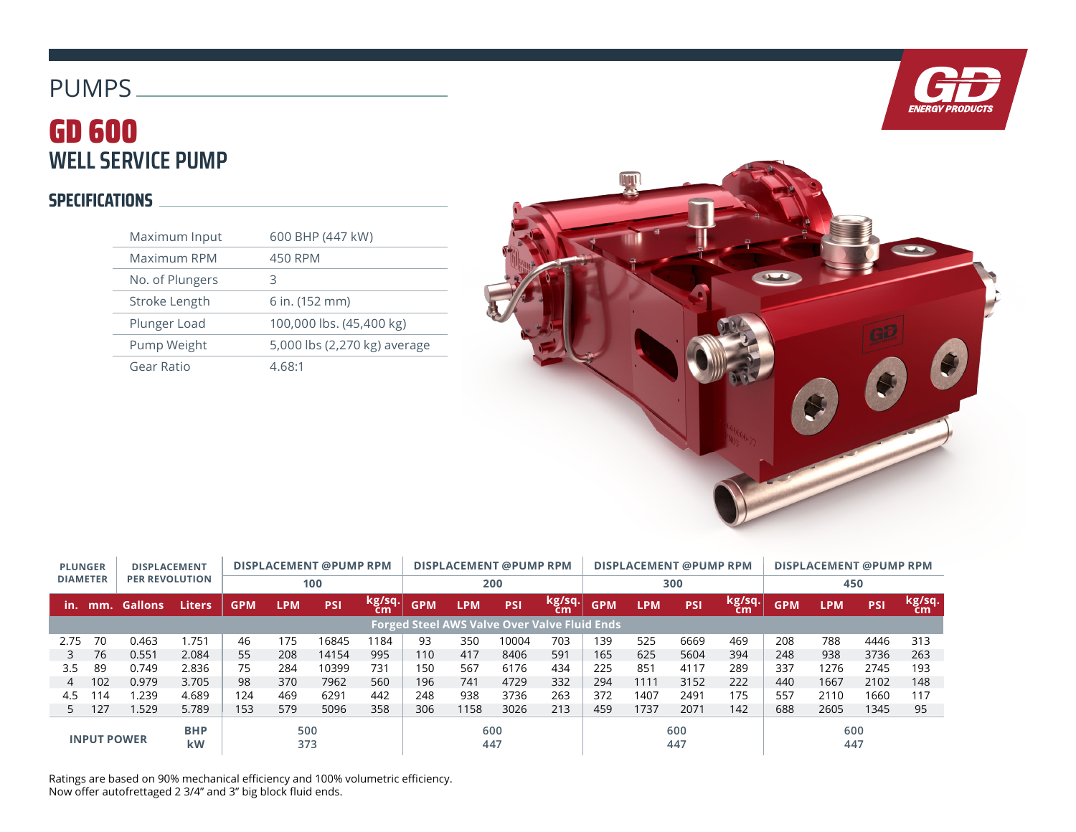# PUMPS GD 600 **WELL SERVICE PUMP**

### **SPECIFICATIONS**

| Maximum Input   | 600 BHP (447 kW)             |
|-----------------|------------------------------|
| Maximum RPM     | 450 RPM                      |
| No. of Plungers | 3                            |
| Stroke Length   | 6 in. (152 mm)               |
| Plunger Load    | 100,000 lbs. (45,400 kg)     |
| Pump Weight     | 5,000 lbs (2,270 kg) average |
| Gear Ratio      | 4.68:1                       |



| <b>PLUNGER</b>                                      |                    | <b>DISPLACEMENT</b>   |                  | <b>DISPLACEMENT @PUMP RPM</b> |            |            |                     | <b>DISPLACEMENT @PUMP RPM</b> |            |            |                                            | <b>DISPLACEMENT @PUMP RPM</b> |            |            |                                                | <b>DISPLACEMENT @PUMP RPM</b> |            |            |              |
|-----------------------------------------------------|--------------------|-----------------------|------------------|-------------------------------|------------|------------|---------------------|-------------------------------|------------|------------|--------------------------------------------|-------------------------------|------------|------------|------------------------------------------------|-------------------------------|------------|------------|--------------|
| <b>DIAMETER</b>                                     |                    | <b>PER REVOLUTION</b> |                  |                               |            | 100        |                     |                               |            | 200        |                                            | 300                           |            |            | 450                                            |                               |            |            |              |
| in.                                                 | mm.                | Gallons               | <b>Liters</b>    | <b>GPM</b>                    | <b>LPM</b> | <b>PSI</b> | $\frac{kg/sq.}{cm}$ | <b>GPM</b>                    | <b>LPM</b> | <b>PSI</b> | $\left[\frac{\text{kg}}{\text{cm}}\right]$ | <b>GPM</b>                    | <b>LPM</b> | <b>PSI</b> | $\left \frac{\text{kg/sq.}}{\text{cm}}\right $ | <b>GPM</b>                    | <b>LPM</b> | <b>PSI</b> | kg/sq.<br>cm |
| <b>Forged Steel AWS Valve Over Valve Fluid Ends</b> |                    |                       |                  |                               |            |            |                     |                               |            |            |                                            |                               |            |            |                                                |                               |            |            |              |
| 2.75                                                | 70                 | 0.463                 | 1.751            | 46                            | 175        | 16845      | 1184                | 93                            | 350        | 10004      | 703                                        | 139                           | 525        | 6669       | 469                                            | 208                           | 788        | 4446       | 313          |
| 3                                                   | 76                 | 0.551                 | 2.084            | 55                            | 208        | 14154      | 995                 | 110                           | 417        | 8406       | 591                                        | 165                           | 625        | 5604       | 394                                            | 248                           | 938        | 3736       | 263          |
| 3.5                                                 | 89                 | 0.749                 | 2.836            | 75                            | 284        | 10399      | 731                 | 150                           | 567        | 6176       | 434                                        | 225                           | 851        | 4117       | 289                                            | 337                           | 1276       | 2745       | 193          |
| 4                                                   | 102                | 0.979                 | 3.705            | 98                            | 370        | 7962       | 560                 | 196                           | 741        | 4729       | 332                                        | 294                           | 1111       | 3152       | 222                                            | 440                           | 1667       | 2102       | 148          |
| 4.5                                                 | 114                | 1.239                 | 4.689            | 124                           | 469        | 6291       | 442                 | 248                           | 938        | 3736       | 263                                        | 372                           | 1407       | 2491       | 175                                            | 557                           | 2110       | 1660       | 117          |
| 5.                                                  | 127                | 1.529                 | 5.789            | 153                           | 579        | 5096       | 358                 | 306                           | 1158       | 3026       | 213                                        | 459                           | 1737       | 2071       | 142                                            | 688                           | 2605       | 1345       | 95           |
|                                                     | <b>INPUT POWER</b> |                       | <b>BHP</b><br>kW |                               | 500<br>373 |            |                     |                               | 447        | 600        |                                            |                               |            | 600<br>447 |                                                |                               | 600<br>447 |            |              |

Ratings are based on 90% mechanical efficiency and 100% volumetric efficiency. Now offer autofrettaged 2 3/4" and 3" big block fluid ends.